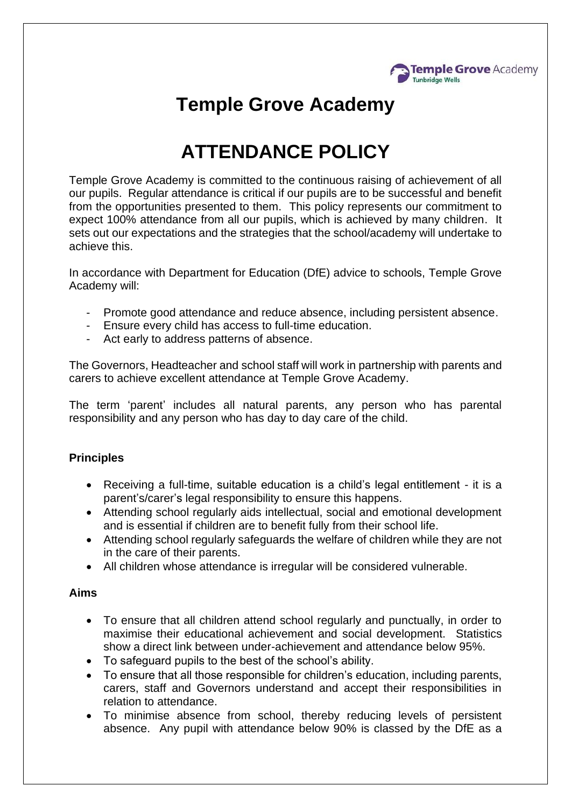

## **Temple Grove Academy**

# **ATTENDANCE POLICY**

Temple Grove Academy is committed to the continuous raising of achievement of all our pupils. Regular attendance is critical if our pupils are to be successful and benefit from the opportunities presented to them. This policy represents our commitment to expect 100% attendance from all our pupils, which is achieved by many children. It sets out our expectations and the strategies that the school/academy will undertake to achieve this.

In accordance with Department for Education (DfE) advice to schools, Temple Grove Academy will:

- Promote good attendance and reduce absence, including persistent absence.
- Ensure every child has access to full-time education.
- Act early to address patterns of absence.

The Governors, Headteacher and school staff will work in partnership with parents and carers to achieve excellent attendance at Temple Grove Academy.

The term 'parent' includes all natural parents, any person who has parental responsibility and any person who has day to day care of the child.

## **Principles**

- Receiving a full-time, suitable education is a child's legal entitlement it is a parent's/carer's legal responsibility to ensure this happens.
- Attending school regularly aids intellectual, social and emotional development and is essential if children are to benefit fully from their school life.
- Attending school regularly safeguards the welfare of children while they are not in the care of their parents.
- All children whose attendance is irregular will be considered vulnerable.

#### **Aims**

- To ensure that all children attend school regularly and punctually, in order to maximise their educational achievement and social development. Statistics show a direct link between under-achievement and attendance below 95%.
- To safeguard pupils to the best of the school's ability.
- To ensure that all those responsible for children's education, including parents, carers, staff and Governors understand and accept their responsibilities in relation to attendance.
- To minimise absence from school, thereby reducing levels of persistent absence. Any pupil with attendance below 90% is classed by the DfE as a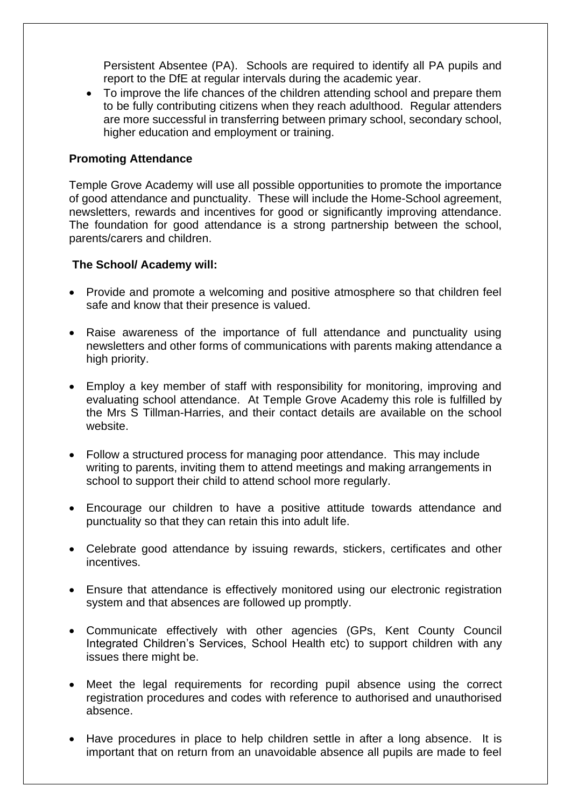Persistent Absentee (PA). Schools are required to identify all PA pupils and report to the DfE at regular intervals during the academic year.

• To improve the life chances of the children attending school and prepare them to be fully contributing citizens when they reach adulthood. Regular attenders are more successful in transferring between primary school, secondary school, higher education and employment or training.

#### **Promoting Attendance**

Temple Grove Academy will use all possible opportunities to promote the importance of good attendance and punctuality. These will include the Home-School agreement, newsletters, rewards and incentives for good or significantly improving attendance. The foundation for good attendance is a strong partnership between the school, parents/carers and children.

#### **The School/ Academy will:**

- Provide and promote a welcoming and positive atmosphere so that children feel safe and know that their presence is valued.
- Raise awareness of the importance of full attendance and punctuality using newsletters and other forms of communications with parents making attendance a high priority.
- Employ a key member of staff with responsibility for monitoring, improving and evaluating school attendance. At Temple Grove Academy this role is fulfilled by the Mrs S Tillman-Harries, and their contact details are available on the school website.
- Follow a structured process for managing poor attendance. This may include writing to parents, inviting them to attend meetings and making arrangements in school to support their child to attend school more regularly.
- Encourage our children to have a positive attitude towards attendance and punctuality so that they can retain this into adult life.
- Celebrate good attendance by issuing rewards, stickers, certificates and other incentives.
- Ensure that attendance is effectively monitored using our electronic registration system and that absences are followed up promptly.
- Communicate effectively with other agencies (GPs, Kent County Council Integrated Children's Services, School Health etc) to support children with any issues there might be.
- Meet the legal requirements for recording pupil absence using the correct registration procedures and codes with reference to authorised and unauthorised absence.
- Have procedures in place to help children settle in after a long absence. It is important that on return from an unavoidable absence all pupils are made to feel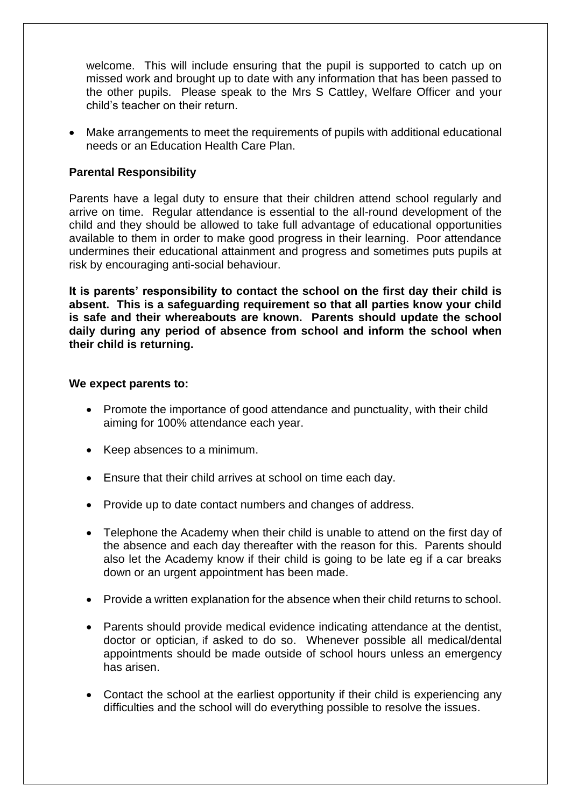welcome. This will include ensuring that the pupil is supported to catch up on missed work and brought up to date with any information that has been passed to the other pupils. Please speak to the Mrs S Cattley, Welfare Officer and your child's teacher on their return.

• Make arrangements to meet the requirements of pupils with additional educational needs or an Education Health Care Plan.

### **Parental Responsibility**

Parents have a legal duty to ensure that their children attend school regularly and arrive on time. Regular attendance is essential to the all-round development of the child and they should be allowed to take full advantage of educational opportunities available to them in order to make good progress in their learning. Poor attendance undermines their educational attainment and progress and sometimes puts pupils at risk by encouraging anti-social behaviour.

**It is parents' responsibility to contact the school on the first day their child is absent. This is a safeguarding requirement so that all parties know your child is safe and their whereabouts are known. Parents should update the school daily during any period of absence from school and inform the school when their child is returning.**

#### **We expect parents to:**

- Promote the importance of good attendance and punctuality, with their child aiming for 100% attendance each year.
- Keep absences to a minimum.
- Ensure that their child arrives at school on time each day.
- Provide up to date contact numbers and changes of address.
- Telephone the Academy when their child is unable to attend on the first day of the absence and each day thereafter with the reason for this. Parents should also let the Academy know if their child is going to be late eg if a car breaks down or an urgent appointment has been made.
- Provide a written explanation for the absence when their child returns to school.
- Parents should provide medical evidence indicating attendance at the dentist, doctor or optician, if asked to do so. Whenever possible all medical/dental appointments should be made outside of school hours unless an emergency has arisen.
- Contact the school at the earliest opportunity if their child is experiencing any difficulties and the school will do everything possible to resolve the issues.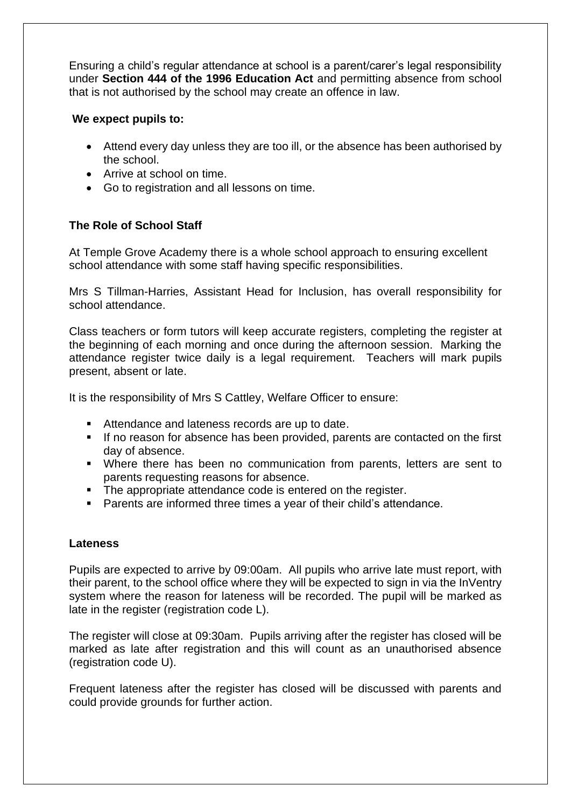Ensuring a child's regular attendance at school is a parent/carer's legal responsibility under **Section 444 of the 1996 Education Act** and permitting absence from school that is not authorised by the school may create an offence in law.

#### **We expect pupils to:**

- Attend every day unless they are too ill, or the absence has been authorised by the school.
- Arrive at school on time.
- Go to registration and all lessons on time.

## **The Role of School Staff**

At Temple Grove Academy there is a whole school approach to ensuring excellent school attendance with some staff having specific responsibilities.

Mrs S Tillman-Harries, Assistant Head for Inclusion, has overall responsibility for school attendance.

Class teachers or form tutors will keep accurate registers, completing the register at the beginning of each morning and once during the afternoon session. Marking the attendance register twice daily is a legal requirement. Teachers will mark pupils present, absent or late.

It is the responsibility of Mrs S Cattley, Welfare Officer to ensure:

- Attendance and lateness records are up to date.
- If no reason for absence has been provided, parents are contacted on the first day of absence.
- Where there has been no communication from parents, letters are sent to parents requesting reasons for absence.
- The appropriate attendance code is entered on the register.
- Parents are informed three times a year of their child's attendance.

## **Lateness**

Pupils are expected to arrive by 09:00am. All pupils who arrive late must report, with their parent, to the school office where they will be expected to sign in via the InVentry system where the reason for lateness will be recorded. The pupil will be marked as late in the register (registration code L).

The register will close at 09:30am. Pupils arriving after the register has closed will be marked as late after registration and this will count as an unauthorised absence (registration code U).

Frequent lateness after the register has closed will be discussed with parents and could provide grounds for further action.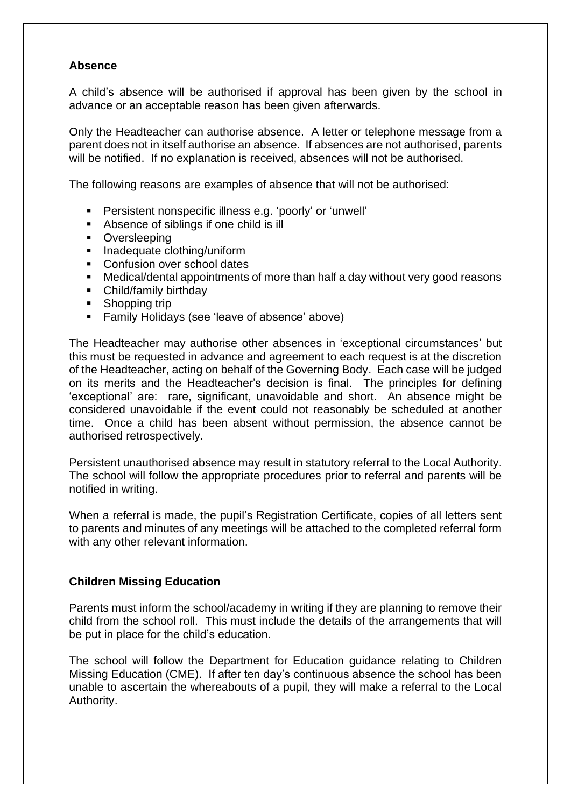#### **Absence**

A child's absence will be authorised if approval has been given by the school in advance or an acceptable reason has been given afterwards.

Only the Headteacher can authorise absence. A letter or telephone message from a parent does not in itself authorise an absence. If absences are not authorised, parents will be notified. If no explanation is received, absences will not be authorised.

The following reasons are examples of absence that will not be authorised:

- Persistent nonspecific illness e.g. 'poorly' or 'unwell'
- Absence of siblings if one child is ill
- Oversleeping
- Inadequate clothing/uniform
- Confusion over school dates
- Medical/dental appointments of more than half a day without very good reasons
- Child/family birthday
- Shopping trip
- Family Holidays (see 'leave of absence' above)

The Headteacher may authorise other absences in 'exceptional circumstances' but this must be requested in advance and agreement to each request is at the discretion of the Headteacher, acting on behalf of the Governing Body. Each case will be judged on its merits and the Headteacher's decision is final. The principles for defining 'exceptional' are: rare, significant, unavoidable and short. An absence might be considered unavoidable if the event could not reasonably be scheduled at another time. Once a child has been absent without permission, the absence cannot be authorised retrospectively.

Persistent unauthorised absence may result in statutory referral to the Local Authority. The school will follow the appropriate procedures prior to referral and parents will be notified in writing.

When a referral is made, the pupil's Registration Certificate, copies of all letters sent to parents and minutes of any meetings will be attached to the completed referral form with any other relevant information.

#### **Children Missing Education**

Parents must inform the school/academy in writing if they are planning to remove their child from the school roll. This must include the details of the arrangements that will be put in place for the child's education.

The school will follow the Department for Education guidance relating to Children Missing Education (CME). If after ten day's continuous absence the school has been unable to ascertain the whereabouts of a pupil, they will make a referral to the Local Authority.